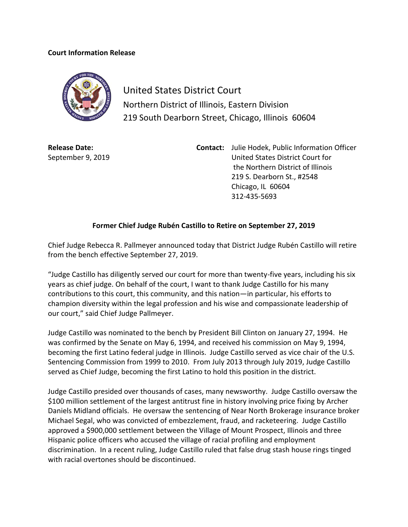## **Court Information Release**



United States District Court Northern District of Illinois, Eastern Division 219 South Dearborn Street, Chicago, Illinois 60604

**Release Date:** September 9, 2019 **Contact:** Julie Hodek, Public Information Officer United States District Court for the Northern District of Illinois 219 S. Dearborn St., #2548 Chicago, IL 60604 312-435-5693

## **Former Chief Judge Rubén Castillo to Retire on September 27, 2019**

Chief Judge Rebecca R. Pallmeyer announced today that District Judge Rubén Castillo will retire from the bench effective September 27, 2019.

"Judge Castillo has diligently served our court for more than twenty-five years, including his six years as chief judge. On behalf of the court, I want to thank Judge Castillo for his many contributions to this court, this community, and this nation—in particular, his efforts to champion diversity within the legal profession and his wise and compassionate leadership of our court," said Chief Judge Pallmeyer.

Judge Castillo was nominated to the bench by President Bill Clinton on January 27, 1994. He was confirmed by the Senate on May 6, 1994, and received his commission on May 9, 1994, becoming the first Latino federal judge in Illinois. Judge Castillo served as vice chair of the U.S. Sentencing Commission from 1999 to 2010. From July 2013 through July 2019, Judge Castillo served as Chief Judge, becoming the first Latino to hold this position in the district.

Judge Castillo presided over thousands of cases, many newsworthy. Judge Castillo oversaw the \$100 million settlement of the largest antitrust fine in history involving price fixing by Archer Daniels Midland officials. He oversaw the sentencing of Near North Brokerage insurance broker Michael Segal, who was convicted of embezzlement, fraud, and racketeering. Judge Castillo approved a \$900,000 settlement between the Village of Mount Prospect, Illinois and three Hispanic police officers who accused the village of racial profiling and employment discrimination. In a recent ruling, Judge Castillo ruled that false drug stash house rings tinged with racial overtones should be discontinued.